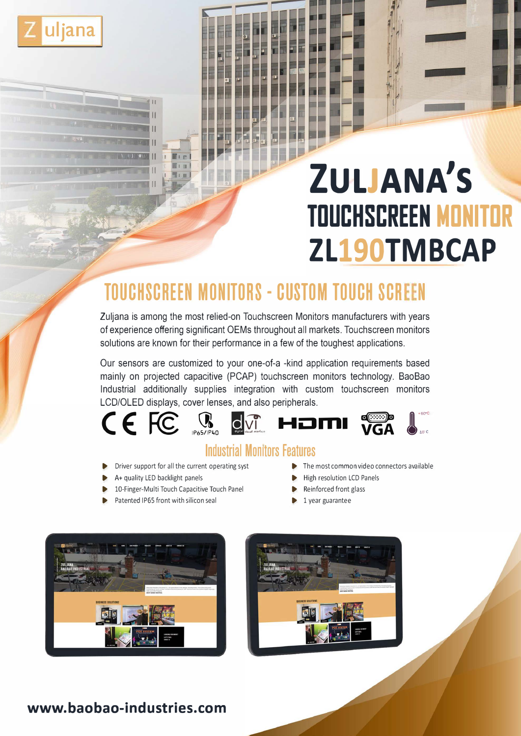

# **ZULJANA'S TOUCHSCREEN MONITOR ZL190TMBCAP**

# **TOUCHSCREEN MONITORS - CUSTOM TOUCH SCREEN**

Zuljana is among the most relied-on Touchscreen Monitors manufacturers with years of experience offering significant OEMs throughout all markets. Touchscreen monitors solutions are known for their performance in a few of the toughest applications.

Our sensors are customized to your one-of-a -kind application requirements based mainly on projected capacitive (PCAP) touchscreen monitors technology. BaoBao Industrial additionally supplies integration with custom touchscreen monitors LCD/OLEO displays, cover lenses, and also peripherals.



## **Industrial Monitors features**

- Driver support for all the current operating syst **► ■** The most common video connectors available
- A+ quality LED backlight panels 
Below and the High resolution LCD Panels
- 10-Finger-Multi Touch Capacitive Touch Panel ▶ Reinforced front glass
- Patented IP65 front with silicon seal 1 year guarantee
- 
- 
- -





### **www.baobao-industries.com**